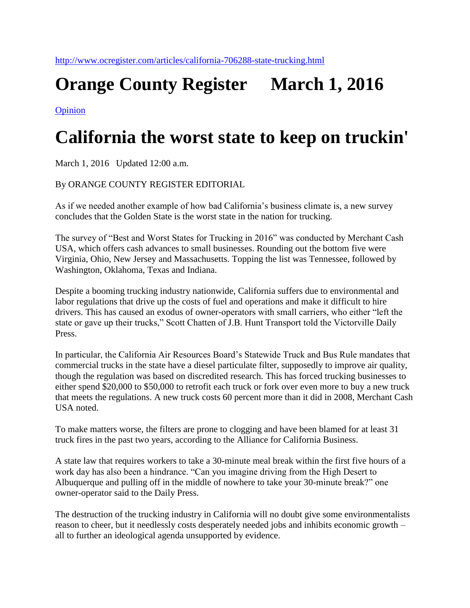## **Orange County Register March 1, 2016**

[Opinion](http://www.ocregister.com/common/archives/?catID=18963)

## **California the worst state to keep on truckin'**

March 1, 2016 Updated 12:00 a.m.

## By ORANGE COUNTY REGISTER EDITORIAL

As if we needed another example of how bad California's business climate is, a new survey concludes that the Golden State is the worst state in the nation for trucking.

The survey of "Best and Worst States for Trucking in 2016" was conducted by Merchant Cash USA, which offers cash advances to small businesses. Rounding out the bottom five were Virginia, Ohio, New Jersey and Massachusetts. Topping the list was Tennessee, followed by Washington, Oklahoma, Texas and Indiana.

Despite a booming trucking industry nationwide, California suffers due to environmental and labor regulations that drive up the costs of fuel and operations and make it difficult to hire drivers. This has caused an exodus of owner-operators with small carriers, who either "left the state or gave up their trucks," Scott Chatten of J.B. Hunt Transport told the Victorville Daily Press.

In particular, the California Air Resources Board's Statewide Truck and Bus Rule mandates that commercial trucks in the state have a diesel particulate filter, supposedly to improve air quality, though the regulation was based on discredited research. This has forced trucking businesses to either spend \$20,000 to \$50,000 to retrofit each truck or fork over even more to buy a new truck that meets the regulations. A new truck costs 60 percent more than it did in 2008, Merchant Cash USA noted.

To make matters worse, the filters are prone to clogging and have been blamed for at least 31 truck fires in the past two years, according to the Alliance for California Business.

A state law that requires workers to take a 30-minute meal break within the first five hours of a work day has also been a hindrance. "Can you imagine driving from the High Desert to Albuquerque and pulling off in the middle of nowhere to take your 30-minute break?" one owner-operator said to the Daily Press.

The destruction of the trucking industry in California will no doubt give some environmentalists reason to cheer, but it needlessly costs desperately needed jobs and inhibits economic growth – all to further an ideological agenda unsupported by evidence.